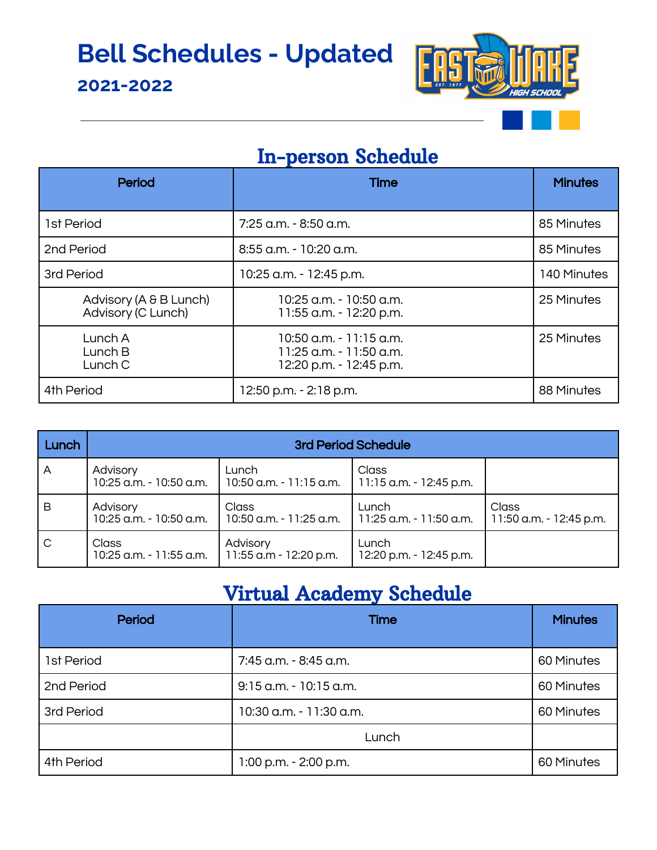## **Bell Schedules - Updated**

#### **2021-2022**



### In-person Schedule

| Period                                       | <b>Time</b>                                                                   | <b>Minutes</b> |
|----------------------------------------------|-------------------------------------------------------------------------------|----------------|
| 1st Period                                   | 7:25 a.m. - 8:50 a.m.                                                         | 85 Minutes     |
| 2nd Period                                   | 8:55 a.m. - 10:20 a.m.                                                        | 85 Minutes     |
| 3rd Period                                   | 10:25 a.m. - 12:45 p.m.                                                       | 140 Minutes    |
| Advisory (A & B Lunch)<br>Advisory (C Lunch) | 10:25 a.m. - 10:50 a.m.<br>11:55 a.m. - 12:20 p.m.                            | 25 Minutes     |
| Lunch A<br>Lunch B<br>Lunch C                | 10:50 a.m. - 11:15 a.m.<br>11:25 a.m. - 11:50 a.m.<br>12:20 p.m. - 12:45 p.m. | 25 Minutes     |
| 4th Period                                   | 12:50 p.m. - 2:18 p.m.                                                        | 88 Minutes     |

| Lunch | 3rd Period Schedule                     |                                                              |                                    |                                  |  |
|-------|-----------------------------------------|--------------------------------------------------------------|------------------------------------|----------------------------------|--|
| A     | Advisory<br>10:25 a.m. - 10:50 a.m.     | Lunch<br>  10:50 a.m. - 11:15 a.m.   11:15 a.m. - 12:45 p.m. | Class                              |                                  |  |
| B     | Advisory<br>10:25 a.m. - 10:50 a.m.     | Class<br>  10:50 a.m. - 11:25 a.m.                           | Lunch<br>  11:25 a.m. - 11:50 a.m. | Class<br>11:50 a.m. - 12:45 p.m. |  |
| C     | <b>Class</b><br>10:25 a.m. - 11:55 a.m. | Advisory<br>  11:55 a.m - 12:20 p.m.                         | Lunch<br>12:20 p.m. - 12:45 p.m.   |                                  |  |

### Virtual Academy Schedule

| <b>Period</b> | <b>Time</b>               | <b>Minutes</b> |
|---------------|---------------------------|----------------|
| 1st Period    | 7:45 a.m. - 8:45 a.m.     | 60 Minutes     |
| 2nd Period    | $9:15$ a.m. $-10:15$ a.m. | 60 Minutes     |
| 3rd Period    | 10:30 a.m. - 11:30 a.m.   | 60 Minutes     |
|               | Lunch                     |                |
| 4th Period    | 1:00 p.m. - 2:00 p.m.     | 60 Minutes     |